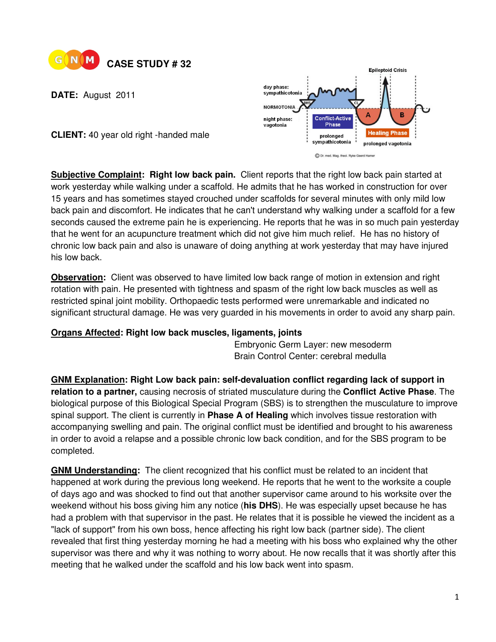

**DATE:** August 2011

**Epileptoid Crisis** day phase: sympathicotonia **NORMOTONIA** R Conflict-Active night phase: Phase vagotonia **Healing Phase** prolonged sympathicotonia prolonged vagotonia C Dr. med. Mag. theol. Ryke Geerd Ha

**CLIENT:** 40 year old right -handed male

**Subjective Complaint: Right low back pain.** Client reports that the right low back pain started at work yesterday while walking under a scaffold. He admits that he has worked in construction for over 15 years and has sometimes stayed crouched under scaffolds for several minutes with only mild low back pain and discomfort. He indicates that he can't understand why walking under a scaffold for a few seconds caused the extreme pain he is experiencing. He reports that he was in so much pain yesterday that he went for an acupuncture treatment which did not give him much relief. He has no history of chronic low back pain and also is unaware of doing anything at work yesterday that may have injured his low back.

**Observation:** Client was observed to have limited low back range of motion in extension and right rotation with pain. He presented with tightness and spasm of the right low back muscles as well as restricted spinal joint mobility. Orthopaedic tests performed were unremarkable and indicated no significant structural damage. He was very guarded in his movements in order to avoid any sharp pain.

## **Organs Affected: Right low back muscles, ligaments, joints**

 Embryonic Germ Layer: new mesoderm Brain Control Center: cerebral medulla

**GNM Explanation: Right Low back pain: self-devaluation conflict regarding lack of support in relation to a partner,** causing necrosis of striated musculature during the **Conflict Active Phase**. The biological purpose of this Biological Special Program (SBS) is to strengthen the musculature to improve spinal support. The client is currently in **Phase A of Healing** which involves tissue restoration with accompanying swelling and pain. The original conflict must be identified and brought to his awareness in order to avoid a relapse and a possible chronic low back condition, and for the SBS program to be completed.

**GNM Understanding:** The client recognized that his conflict must be related to an incident that happened at work during the previous long weekend. He reports that he went to the worksite a couple of days ago and was shocked to find out that another supervisor came around to his worksite over the weekend without his boss giving him any notice (**his DHS**). He was especially upset because he has had a problem with that supervisor in the past. He relates that it is possible he viewed the incident as a "lack of support" from his own boss, hence affecting his right low back (partner side). The client revealed that first thing yesterday morning he had a meeting with his boss who explained why the other supervisor was there and why it was nothing to worry about. He now recalls that it was shortly after this meeting that he walked under the scaffold and his low back went into spasm.